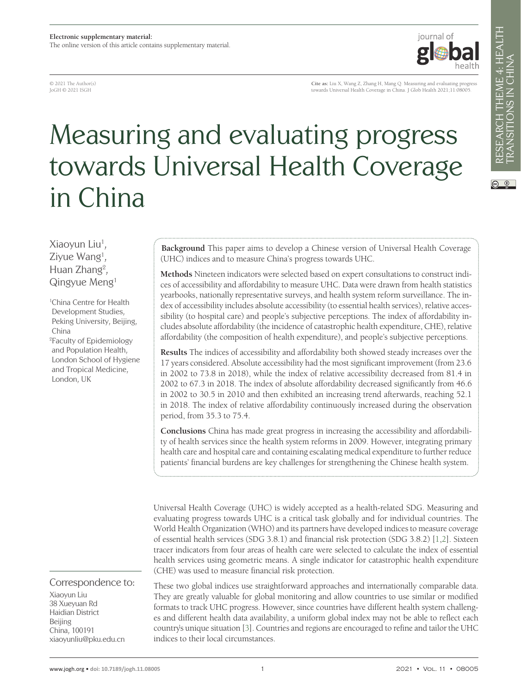© 2021 The Author(s) JoGH © 2021 ISGH

**Cite as:** Liu X, Wang Z, Zhang H, Mang Q. Measuring and evaluating progress towards Universal Health Coverage in China. J Glob Health 2021;11:08005.

iournal of

# Measuring and evaluating progress towards Universal Health Coverage in China

Xiaoyun Liu<sup>1</sup>, Ziyue Wang<sup>1</sup>, Huan Zhang<sup>2</sup>, Qingyue Meng1

1 China Centre for Health Development Studies, Peking University, Beijing, China

2 Faculty of Epidemiology and Population Health, London School of Hygiene and Tropical Medicine, London, UK

# Correspondence to:

Xiaoyun Liu 38 Xueyuan Rd Haidian District Beijing China, 100191 xiaoyunliu@pku.edu.cn

**Background** This paper aims to develop a Chinese version of Universal Health Coverage (UHC) indices and to measure China's progress towards UHC.

**Methods** Nineteen indicators were selected based on expert consultations to construct indices of accessibility and affordability to measure UHC. Data were drawn from health statistics yearbooks, nationally representative surveys, and health system reform surveillance. The index of accessibility includes absolute accessibility (to essential health services), relative accessibility (to hospital care) and people's subjective perceptions. The index of affordability includes absolute affordability (the incidence of catastrophic health expenditure, CHE), relative affordability (the composition of health expenditure), and people's subjective perceptions.

**Results** The indices of accessibility and affordability both showed steady increases over the 17 years considered. Absolute accessibility had the most significant improvement (from 23.6 in 2002 to 73.8 in 2018), while the index of relative accessibility decreased from 81.4 in 2002 to 67.3 in 2018. The index of absolute affordability decreased significantly from 46.6 in 2002 to 30.5 in 2010 and then exhibited an increasing trend afterwards, reaching 52.1 in 2018. The index of relative affordability continuously increased during the observation period, from 35.3 to 75.4.

**Conclusions** China has made great progress in increasing the accessibility and affordability of health services since the health system reforms in 2009. However, integrating primary health care and hospital care and containing escalating medical expenditure to further reduce patients' financial burdens are key challenges for strengthening the Chinese health system.

Universal Health Coverage (UHC) is widely accepted as a health-related SDG. Measuring and evaluating progress towards UHC is a critical task globally and for individual countries. The World Health Organization (WHO) and its partners have developed indices to measure coverage of essential health services (SDG 3.8.1) and financial risk protection (SDG 3.8.2) [[1](#page-8-0)[,2](#page-8-1)]. Sixteen tracer indicators from four areas of health care were selected to calculate the index of essential health services using geometric means. A single indicator for catastrophic health expenditure (CHE) was used to measure financial risk protection.

These two global indices use straightforward approaches and internationally comparable data. They are greatly valuable for global monitoring and allow countries to use similar or modified formats to track UHC progress. However, since countries have different health system challenges and different health data availability, a uniform global index may not be able to reflect each country's unique situation [\[3](#page-8-2)]. Countries and regions are encouraged to refine and tailor the UHC indices to their local circumstances.

 $\circledcirc$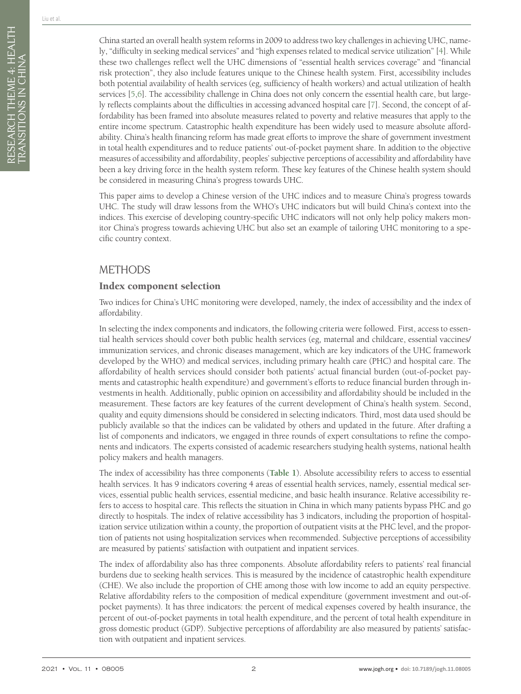China started an overall health system reforms in 2009 to address two key challenges in achieving UHC, namely, "difficulty in seeking medical services" and "high expenses related to medical service utilization" [[4\]](#page-8-3). While these two challenges reflect well the UHC dimensions of "essential health services coverage" and "financial risk protection", they also include features unique to the Chinese health system. First, accessibility includes both potential availability of health services (eg, sufficiency of health workers) and actual utilization of health services [\[5,](#page-8-4)[6](#page-8-5)]. The accessibility challenge in China does not only concern the essential health care, but largely reflects complaints about the difficulties in accessing advanced hospital care [[7\]](#page-8-6). Second, the concept of affordability has been framed into absolute measures related to poverty and relative measures that apply to the entire income spectrum. Catastrophic health expenditure has been widely used to measure absolute affordability. China's health financing reform has made great efforts to improve the share of government investment in total health expenditures and to reduce patients' out-of-pocket payment share. In addition to the objective measures of accessibility and affordability, peoples' subjective perceptions of accessibility and affordability have been a key driving force in the health system reform. These key features of the Chinese health system should be considered in measuring China's progress towards UHC.

This paper aims to develop a Chinese version of the UHC indices and to measure China's progress towards UHC. The study will draw lessons from the WHO's UHC indicators but will build China's context into the indices. This exercise of developing country-specific UHC indicators will not only help policy makers monitor China's progress towards achieving UHC but also set an example of tailoring UHC monitoring to a specific country context.

# METHODS

## Index component selection

Two indices for China's UHC monitoring were developed, namely, the index of accessibility and the index of affordability.

In selecting the index components and indicators, the following criteria were followed. First, access to essential health services should cover both public health services (eg, maternal and childcare, essential vaccines/ immunization services, and chronic diseases management, which are key indicators of the UHC framework developed by the WHO) and medical services, including primary health care (PHC) and hospital care. The affordability of health services should consider both patients' actual financial burden (out-of-pocket payments and catastrophic health expenditure) and government's efforts to reduce financial burden through investments in health. Additionally, public opinion on accessibility and affordability should be included in the measurement. These factors are key features of the current development of China's health system. Second, quality and equity dimensions should be considered in selecting indicators. Third, most data used should be publicly available so that the indices can be validated by others and updated in the future. After drafting a list of components and indicators, we engaged in three rounds of expert consultations to refine the components and indicators. The experts consisted of academic researchers studying health systems, national health policy makers and health managers.

The index of accessibility has three components (**[Table 1](#page-8-7)**). Absolute accessibility refers to access to essential health services. It has 9 indicators covering 4 areas of essential health services, namely, essential medical services, essential public health services, essential medicine, and basic health insurance. Relative accessibility refers to access to hospital care. This reflects the situation in China in which many patients bypass PHC and go directly to hospitals. The index of relative accessibility has 3 indicators, including the proportion of hospitalization service utilization within a county, the proportion of outpatient visits at the PHC level, and the proportion of patients not using hospitalization services when recommended. Subjective perceptions of accessibility are measured by patients' satisfaction with outpatient and inpatient services.

The index of affordability also has three components. Absolute affordability refers to patients' real financial burdens due to seeking health services. This is measured by the incidence of catastrophic health expenditure (CHE). We also include the proportion of CHE among those with low income to add an equity perspective. Relative affordability refers to the composition of medical expenditure (government investment and out-ofpocket payments). It has three indicators: the percent of medical expenses covered by health insurance, the percent of out-of-pocket payments in total health expenditure, and the percent of total health expenditure in gross domestic product (GDP). Subjective perceptions of affordability are also measured by patients' satisfaction with outpatient and inpatient services.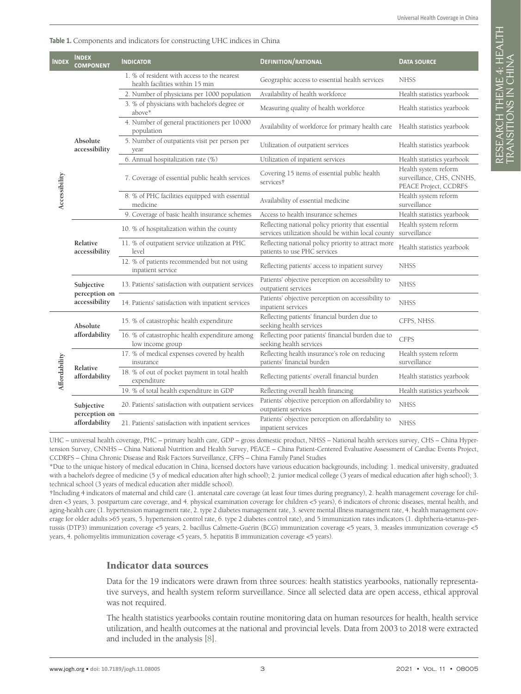| Table 1. Components and indicators for constructing UHC indices in China |
|--------------------------------------------------------------------------|
|--------------------------------------------------------------------------|

| <b>INDEX</b>  | <b>INDEX</b><br><b>COMPONENT</b> | <b>INDICATOR</b>                                                               | <b>DEFINITION/RATIONAL</b>                                                                               | <b>DATA SOURCE</b>                                                         |  |  |
|---------------|----------------------------------|--------------------------------------------------------------------------------|----------------------------------------------------------------------------------------------------------|----------------------------------------------------------------------------|--|--|
| Accessibility |                                  | 1. % of resident with access to the nearest<br>health facilities within 15 min | Geographic access to essential health services                                                           | <b>NHSS</b>                                                                |  |  |
|               | Absolute<br>accessibility        | 2. Number of physicians per 1000 population                                    | Availability of health workforce                                                                         | Health statistics yearbook                                                 |  |  |
|               |                                  | 3. % of physicians with bachelor's degree or<br>above*                         | Measuring quality of health workforce                                                                    | Health statistics yearbook                                                 |  |  |
|               |                                  | 4. Number of general practitioners per 10000<br>population                     | Availability of workforce for primary health care                                                        | Health statistics yearbook                                                 |  |  |
|               |                                  | 5. Number of outpatients visit per person per<br>year                          | Utilization of outpatient services                                                                       | Health statistics yearbook                                                 |  |  |
|               |                                  | 6. Annual hospitalization rate (%)                                             | Utilization of inpatient services                                                                        | Health statistics yearbook                                                 |  |  |
|               |                                  | 7. Coverage of essential public health services                                | Covering 15 items of essential public health<br>services†                                                | Health system reform<br>surveillance, CHS, CNNHS,<br>PEACE Project, CCDRFS |  |  |
|               |                                  | 8. % of PHC facilities equipped with essential<br>medicine                     | Availability of essential medicine                                                                       | Health system reform<br>surveillance                                       |  |  |
|               |                                  | 9. Coverage of basic health insurance schemes                                  | Access to health insurance schemes                                                                       | Health statistics yearbook                                                 |  |  |
|               | Relative<br>accessibility        | 10. % of hospitalization within the county                                     | Reflecting national policy priority that essential<br>services utilization should be within local county | Health system reform<br>surveillance                                       |  |  |
|               |                                  | 11. % of outpatient service utilization at PHC<br>level                        | Reflecting national policy priority to attract more<br>patients to use PHC services                      | Health statistics yearbook                                                 |  |  |
|               |                                  | 12. % of patients recommended but not using<br>inpatient service               | Reflecting patients' access to inpatient survey                                                          | <b>NHSS</b>                                                                |  |  |
|               | Subjective                       | 13. Patients' satisfaction with outpatient services                            | Patients' objective perception on accessibility to<br>outpatient services                                | <b>NHSS</b>                                                                |  |  |
|               | perception on<br>accessibility   | 14. Patients' satisfaction with inpatient services                             | Patients' objective perception on accessibility to<br>inpatient services                                 | <b>NHSS</b>                                                                |  |  |
| Affordability | Absolute                         | 15. % of catastrophic health expenditure                                       | Reflecting patients' financial burden due to<br>seeking health services                                  | CFPS, NHSS.                                                                |  |  |
|               | affordability                    | 16. % of catastrophic health expenditure among<br>low income group             | Reflecting poor patients' financial burden due to<br>seeking health services                             | <b>CFPS</b>                                                                |  |  |
|               | Relative<br>affordability        | 17. % of medical expenses covered by health<br>insurance                       | Reflecting health insurance's role on reducing<br>patients' financial burden                             | Health system reform<br>surveillance                                       |  |  |
|               |                                  | 18. % of out of pocket payment in total health<br>expenditure                  | Reflecting patients' overall financial burden                                                            | Health statistics yearbook                                                 |  |  |
|               |                                  | 19. % of total health expenditure in GDP                                       | Reflecting overall health financing                                                                      | Health statistics yearbook                                                 |  |  |
|               | Subjective<br>perception on      | 20. Patients' satisfaction with outpatient services                            | Patients' objective perception on affordability to<br>outpatient services                                | <b>NHSS</b>                                                                |  |  |
|               | affordability                    | 21. Patients' satisfaction with inpatient services                             | Patients' objective perception on affordability to<br>inpatient services                                 | <b>NHSS</b>                                                                |  |  |

UHC – universal health coverage, PHC – primary health care, GDP – gross domestic product, NHSS – National health services survey, CHS – China Hypertension Survey, CNNHS – China National Nutrition and Health Survey, PEACE – China Patient-Centered Evaluative Assessment of Cardiac Events Project, CCDRFS – China Chronic Disease and Risk Factors Surveillance, CFPS – China Family Panel Studies

\*Due to the unique history of medical education in China, licensed doctors have various education backgrounds, including: 1. medical university, graduated with a bachelor's degree of medicine (5 y of medical education after high school); 2. junior medical college (3 years of medical education after high school); 3. technical school (3 years of medical education after middle school).

†Including 4 indicators of maternal and child care (1. antenatal care coverage (at least four times during pregnancy), 2. health management coverage for children <3 years, 3. postpartum care coverage, and 4. physical examination coverage for children <5 years), 6 indicators of chronic diseases, mental health, and aging-health care (1. hypertension management rate, 2. type 2 diabetes management rate, 3. severe mental illness management rate, 4. health management coverage for older adults >65 years, 5. hypertension control rate, 6. type 2 diabetes control rate), and 5 immunization rates indicators (1. diphtheria-tetanus-pertussis (DTP3) immunization coverage <5 years, 2. bacillus Calmette-Guérin (BCG) immunization coverage <5 years, 3. measles immunization coverage <5 years, 4. poliomyelitis immunization coverage <5 years, 5. hepatitis B immunization coverage <5 years).

#### Indicator data sources

Data for the 19 indicators were drawn from three sources: health statistics yearbooks, nationally representative surveys, and health system reform surveillance. Since all selected data are open access, ethical approval was not required.

The health statistics yearbooks contain routine monitoring data on human resources for health, health service utilization, and health outcomes at the national and provincial levels. Data from 2003 to 2018 were extracted and included in the analysis [\[8](#page-8-8)].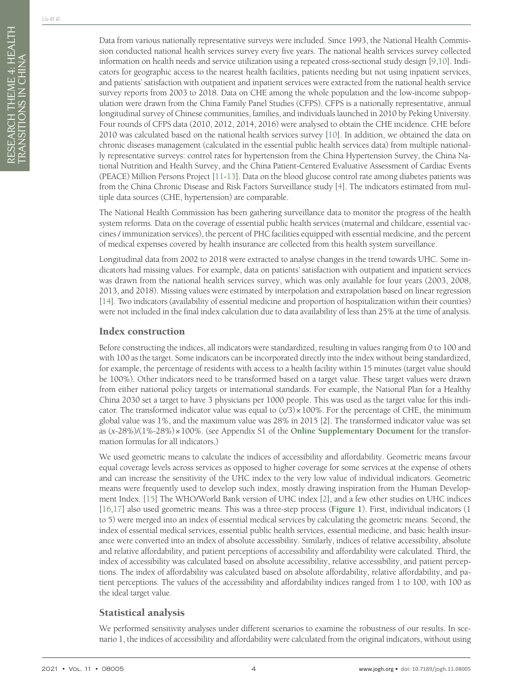Data from various nationally representative surveys were included. Since 1993, the National Health Commission conducted national health services survey every five years. The national health services survey collected information on health needs and service utilization using a repeated cross-sectional study design [\[9](#page-8-9)[,10](#page-8-10)]. Indicators for geographic access to the nearest health facilities, patients needing but not using inpatient services, and patients' satisfaction with outpatient and inpatient services were extracted from the national health service survey reports from 2003 to 2018. Data on CHE among the whole population and the low-income subpopulation were drawn from the China Family Panel Studies (CFPS). CFPS is a nationally representative, annual longitudinal survey of Chinese communities, families, and individuals launched in 2010 by Peking University. Four rounds of CFPS data (2010, 2012, 2014, 2016) were analysed to obtain the CHE incidence. CHE before 2010 was calculated based on the national health services survey [\[10](#page-8-10)]. In addition, we obtained the data on chronic diseases management (calculated in the essential public health services data) from multiple nationally representative surveys: control rates for hypertension from the China Hypertension Survey, the China National Nutrition and Health Survey, and the China Patient-Centered Evaluative Assessment of Cardiac Events (PEACE) Million Persons Project [[11](#page-8-11)[-13](#page-8-12)]. Data on the blood glucose control rate among diabetes patients was from the China Chronic Disease and Risk Factors Surveillance study [\[4](#page-8-3)]. The indicators estimated from multiple data sources (CHE, hypertension) are comparable.

The National Health Commission has been gathering surveillance data to monitor the progress of the health system reforms. Data on the coverage of essential public health services (maternal and childcare, essential vaccines / immunization services), the percent of PHC facilities equipped with essential medicine, and the percent of medical expenses covered by health insurance are collected from this health system surveillance.

Longitudinal data from 2002 to 2018 were extracted to analyse changes in the trend towards UHC. Some indicators had missing values. For example, data on patients' satisfaction with outpatient and inpatient services was drawn from the national health services survey, which was only available for four years (2003, 2008, 2013, and 2018). Missing values were estimated by interpolation and extrapolation based on linear regression [[14\]](#page-8-13). Two indicators (availability of essential medicine and proportion of hospitalization within their counties) were not included in the final index calculation due to data availability of less than 25% at the time of analysis.

## Index construction

Before constructing the indices, all indicators were standardized, resulting in values ranging from 0 to 100 and with 100 as the target. Some indicators can be incorporated directly into the index without being standardized, for example, the percentage of residents with access to a health facility within 15 minutes (target value should be 100%). Other indicators need to be transformed based on a target value. These target values were drawn from either national policy targets or international standards. For example, the National Plan for a Healthy China 2030 set a target to have 3 physicians per 1000 people. This was used as the target value for this indicator. The transformed indicator value was equal to  $(x/3) \times 100\%$ . For the percentage of CHE, the minimum global value was 1%, and the maximum value was 28% in 2015 [2]. The transformed indicator value was set as (*x*-28%)/(1%-28%)×100%. (see Appendix S1 of the **[Online Supplementary Document](#page-8-7)** for the transformation formulas for all indicators.)

We used geometric means to calculate the indices of accessibility and affordability. Geometric means favour equal coverage levels across services as opposed to higher coverage for some services at the expense of others and can increase the sensitivity of the UHC index to the very low value of individual indicators. Geometric means were frequently used to develop such index, mostly drawing inspiration from the Human Development Index. [[15](#page-8-14)] The WHO/World Bank version of UHC index [[2\]](#page-8-1), and a few other studies on UHC indices [[16](#page-9-0)[,17](#page-9-1)] also used geometric means. This was a three-step process (**[Figure 1](#page-4-0)**). First, individual indicators (1 to 5) were merged into an index of essential medical services by calculating the geometric means. Second, the index of essential medical services, essential public health services, essential medicine, and basic health insurance were converted into an index of absolute accessibility. Similarly, indices of relative accessibility, absolute and relative affordability, and patient perceptions of accessibility and affordability were calculated. Third, the index of accessibility was calculated based on absolute accessibility, relative accessibility, and patient perceptions. The index of affordability was calculated based on absolute affordability, relative affordability, and patient perceptions. The values of the accessibility and affordability indices ranged from 1 to 100, with 100 as the ideal target value.

# Statistical analysis

We performed sensitivity analyses under different scenarios to examine the robustness of our results. In scenario 1, the indices of accessibility and affordability were calculated from the original indicators, without using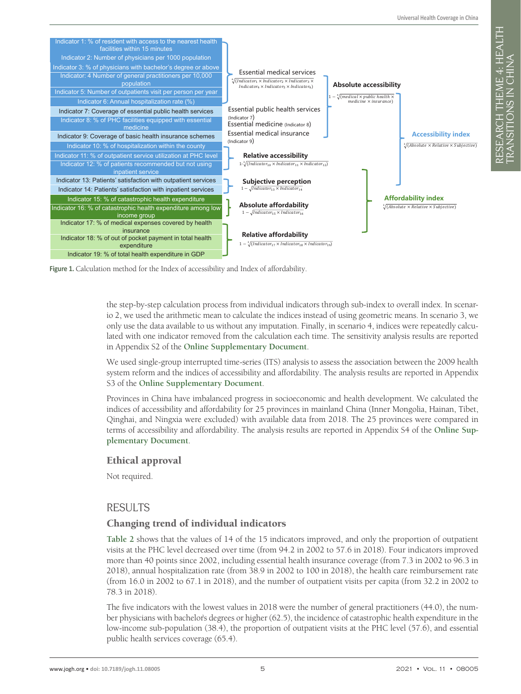RESEARCH THEME 4: HEALTH

RESEARCH THEME 4: HEALTH<br>TRANSITIONS IN CHINA

TRANSITIONS IN CHINA

<span id="page-4-0"></span>

Figure 1. Calculation method for the Index of accessibility and Index of affordability.

the step-by-step calculation process from individual indicators through sub-index to overall index. In scenario 2, we used the arithmetic mean to calculate the indices instead of using geometric means. In scenario 3, we only use the data available to us without any imputation. Finally, in scenario 4, indices were repeatedly calculated with one indicator removed from the calculation each time. The sensitivity analysis results are reported in Appendix S2 of the **[Online Supplementary Document](#page-8-7)**.

We used single-group interrupted time-series (ITS) analysis to assess the association between the 2009 health system reform and the indices of accessibility and affordability. The analysis results are reported in Appendix S3 of the **[Online Supplementary Document](#page-8-7)**.

Provinces in China have imbalanced progress in socioeconomic and health development. We calculated the indices of accessibility and affordability for 25 provinces in mainland China (Inner Mongolia, Hainan, Tibet, Qinghai, and Ningxia were excluded) with available data from 2018. The 25 provinces were compared in terms of accessibility and affordability. The analysis results are reported in Appendix S4 of the **[Online Sup](#page-8-7)[plementary Document](#page-8-7)**.

#### Ethical approval

Not required.

#### RESULTS

#### Changing trend of individual indicators

**[Table 2](#page-5-0)** shows that the values of 14 of the 15 indicators improved, and only the proportion of outpatient visits at the PHC level decreased over time (from 94.2 in 2002 to 57.6 in 2018). Four indicators improved more than 40 points since 2002, including essential health insurance coverage (from 7.3 in 2002 to 96.3 in 2018), annual hospitalization rate (from 38.9 in 2002 to 100 in 2018), the health care reimbursement rate (from 16.0 in 2002 to 67.1 in 2018), and the number of outpatient visits per capita (from 32.2 in 2002 to 78.3 in 2018).

The five indicators with the lowest values in 2018 were the number of general practitioners (44.0), the number physicians with bachelor's degrees or higher (62.5), the incidence of catastrophic health expenditure in the low-income sub-population (38.4), the proportion of outpatient visits at the PHC level (57.6), and essential public health services coverage (65.4).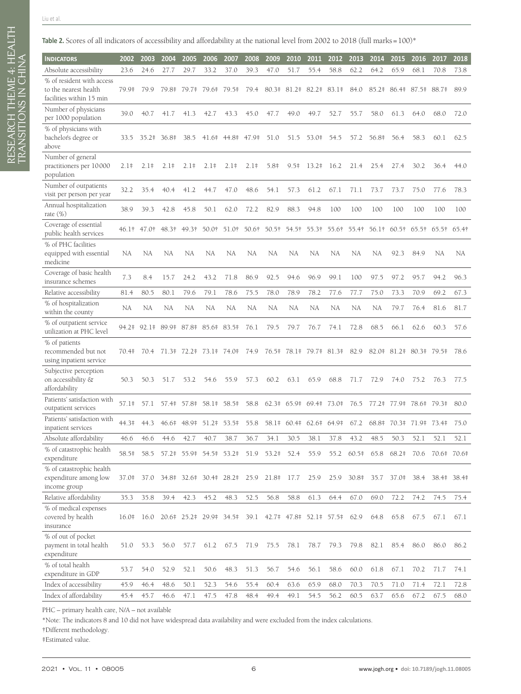RESEARCH THEME 4: HEALTH

RESEARCH THEME 4: HEALTH<br>TRANSITIONS IN CHINA

TRANSITIONS IN CHINA

<span id="page-5-0"></span>

| <b>INDICATORS</b>                                                 | 2002   | 2003        | 2004              | 2005    | 2006              | 2007                         | 2008   | 2009      | 2010                                                      | 2011                               | 2012        | 2013            | 2014    | 2015          | 2016        | 2017              | 2018      |
|-------------------------------------------------------------------|--------|-------------|-------------------|---------|-------------------|------------------------------|--------|-----------|-----------------------------------------------------------|------------------------------------|-------------|-----------------|---------|---------------|-------------|-------------------|-----------|
|                                                                   | 23.6   | 24.6        | 27.7              | 29.7    | 33.2              | 37.0                         | 39.3   | 47.0      | 51.7                                                      | 55.4                               | 58.8        | 62.2            | 64.2    | 65.9          | 68.1        | 70.8              | 73.8      |
| Absolute accessibility<br>% of resident with access               |        |             |                   |         |                   |                              |        |           |                                                           |                                    |             |                 |         |               |             |                   |           |
| to the nearest health<br>facilities within 15 min                 | 79.9‡  | 79.9        | 79.8‡             | 79.7‡   | 79.6‡             | $79.5*$                      | 79.4   | $80.3*$   |                                                           | 81.2# 82.2#                        | $83.1*$     | 84.0            | $85.2*$ | 86.4‡         | $87.5*$     | 88.7#             | 89.9      |
| Number of physicians<br>per 1000 population                       | 39.0   | 40.7        | 41.7              | 41.3    | 42.7              | 43.3                         | 45.0   | 47.7      | 49.0                                                      | 49.7                               | 52.7        | 55.7            | 58.0    | 61.3          | 64.0        | 68.0              | 72.0      |
| % of physicians with<br>bachelor's degree or<br>above             | 33.5   |             | 35.2# 36.8#       | 38.5    | $41.6*$           | 44.8‡                        | 47.9‡  | 51.0      | 51.5                                                      | 53.0‡                              | 54.5        | 57.2            | 56.8‡   | 56.4          | 58.3        | 60.1              | 62.5      |
| Number of general<br>practitioners per 10000<br>population        | $2.1*$ | $2.1*$      | $2.1*$            | $2.1*$  | $2.1*$            | $2.1*$                       | $2.1*$ | $5.8*$    | $9.5*$                                                    | $13.2*$                            | 16.2        | 21.4            | 25.4    | 27.4          | 30.2        | 36.4              | 44.0      |
| Number of outpatients<br>visit per person per year                | 32.2   | 35.4        | 40.4              | 41.2    | 44.7              | 47.0                         | 48.6   | 54.1      | 57.3                                                      | 61.2                               | 67.1        | 71.1            | 73.7    | 73.7          | 75.0        | 77.6              | 78.3      |
| Annual hospitalization<br>rate $(\%)$                             | 38.9   | 39.3        | 42.8              | 45.8    | 50.1              | 62.0                         | 72.2   | 82.9      | 88.3                                                      | 94.8                               | 100         | 100             | 100     | 100           | 100         | 100               | 100       |
| Coverage of essential<br>public health services                   |        | 46.1† 47.0† | 48.3†             | 49.3†   | 50.0†             | 51.0†                        | 50.6†  | 50.5†     | 54.5†                                                     | 55.3†                              | 55.6†       | 55.4†           | 56.1†   | $60.5\dagger$ | 65.5†       | 65.5 <sup>†</sup> | 65.4†     |
| % of PHC facilities<br>equipped with essential<br>medicine        | NA     | NA          | NA                | NA      | <b>NA</b>         | NA                           | NA     | <b>NA</b> | NA                                                        | NA                                 | NA          | <b>NA</b>       | NA      | 92.3          | 84.9        | NA                | <b>NA</b> |
| Coverage of basic health<br>insurance schemes                     | 7.3    | 8.4         | 15.7              | 24.2    | 43.2              | 71.8                         | 86.9   | 92.5      | 94.6                                                      | 96.9                               | 99.1        | 100             | 97.5    | 97.2          | 95.7        | 94.2              | 96.3      |
| Relative accessibility                                            | 81.4   | 80.5        | 80.1              | 79.6    | 79.1              | 78.6                         | 75.5   | 78.0      | 78.9                                                      | 78.2                               | 77.6        | 77.7            | 75.0    | 73.3          | 70.9        | 69.2              | 67.3      |
| % of hospitalization<br>within the county                         | NA     | NA          | <b>NA</b>         | NA      | NA                | NA                           | NA     | NA        | NA                                                        | <b>NA</b>                          | NA          | <b>NA</b>       | NA      | 79.7          | 76.4        | 81.6              | 81.7      |
| % of outpatient service<br>utilization at PHC level               |        |             | 94.2# 92.1# 89.9# |         | 87.8# 85.6# 83.5# |                              | 76.1   | 79.5      | 79.7                                                      | 76.7                               | 74.1        | 72.8            | 68.5    | 66.1          | 62.6        | 60.3              | 57.6      |
| % of patients<br>recommended but not<br>using inpatient service   | 70.4‡  | 70.4        | $71.3*$           | $72.2*$ | $73.1*$           | 74.0‡                        | 74.9   | $76.5*$   | 78.1‡                                                     |                                    | 79.7# 81.3# | 82.9            | 82.0#   | $81.2*$       |             | 80.3# 79.5#       | 78.6      |
| Subjective perception<br>on accessibility &<br>affordability      | 50.3   | 50.3        | 51.7              | 53.2    | 54.6              | 55.9                         | 57.3   | 60.2      | 63.1                                                      | 65.9                               | 68.8        | 71.7            | 72.9    | 74.0          | 75.2        | 76.3              | 77.5      |
| Patients' satisfaction with<br>outpatient services                | 57.1#  | 57.1        | $57.4*$           | 57.8‡   | $58.1*$           | 58.5‡                        | 58.8   |           | 62.3# 65.9# 69.4# 73.0#                                   |                                    |             | 76.5            | $77.2*$ | 77.9‡         | 78.6‡       | 79.3‡             | 80.0      |
| Patients' satisfaction with<br>inpatient services                 | 44.3‡  | 44.3        | $46.6*$           | 48.9‡   | $51.2*$           | 53.5‡                        | 55.8   | $58.1*$   |                                                           | $60.4\ddagger$ 62.6 $64.9\ddagger$ |             | 67.2            | 68.8‡   | $70.3*$       | 71.9# 73.4# |                   | 75.0      |
| Absolute affordability                                            | 46.6   | 46.6        | 44.6              | 42.7    | 40.7              | 38.7                         | 36.7   | 34.1      | 30.5                                                      | 38.1                               | 37.8        | 43.2            | 48.5    | 50.3          | 52.1        | 52.1              | 52.1      |
| % of catastrophic health<br>expenditure                           | 58.5‡  | 58.5        |                   |         |                   | 57.2# 55.9# 54.5# 53.2# 51.9 |        | 53.2‡     | 52.4                                                      | 55.9                               |             | 55.2 60.5# 65.8 |         | 68.2‡         | 70.6        | 70.6# 70.6#       |           |
| % of catastrophic health<br>expenditure among low<br>income group | 37.0‡  | 37.0        | 34.8‡             |         | 32.6# 30.4# 28.2# |                              | 25.9   | 21.8#     | 17.7                                                      | 25.9                               | 25.9        | $30.8*$         | 35.7    | 37.0‡         | 38.4        | 38.4‡             | 38.4‡     |
| Relative affordability                                            | 35.3   | 35.8        | 39.4              | 42.3    | 45.2              | 48.3                         | 52.5   | 56.8      | 58.8                                                      | 61.3                               | 64.4        | 67.0            | 69.0    | 72.2          | 74.2        | 74.5              | 75.4      |
| % of medical expenses<br>covered by health<br>insurance           | 16.0‡  | 16.0        |                   |         |                   |                              |        |           | 20.6# 25.2# 29.9# 34.5# 39.1 42.7# 47.8# 52.1# 57.5# 62.9 |                                    |             |                 | 64.8    | 65.8          | 67.5        | 67.1              | 67.1      |
| % of out of pocket<br>payment in total health<br>expenditure      | 51.0   | 53.3        | 56.0              | 57.7    | 61.2              | 67.5                         | 71.9   | 75.5      | 78.1                                                      | 78.7                               | 79.3        | 79.8            | 82.1    | 85.4          | 86.0        | 86.0              | 86.2      |
| % of total health<br>expenditure in GDP                           | 53.7   | 54.0        | 52.9              | 52.1    | 50.6              | 48.3                         | 51.3   | 56.7      | 54.6                                                      | 56.1                               | 58.6        | 60.0            | 61.8    | 67.1          | 70.2        | 71.7              | 74.1      |
| Index of accessibility                                            | 45.9   | 46.4        | 48.6              | 50.1    | 52.3              | 54.6                         | 55.4   | 60.4      | 63.6                                                      | 65.9                               | 68.0        | 70.3            | 70.5    | 71.0          | 71.4        | 72.1              | 72.8      |
| Index of affordability                                            | 45.4   | 45.7        | 46.6              | 47.1    | 47.5              | 47.8                         | 48.4   | 49.4      | 49.1                                                      | 54.5                               | 56.2        | 60.5            | 63.7    | 65.6          | 67.2        | 67.5              | 68.0      |

PHC – primary health care, N/A – not available

\*Note: The indicators 8 and 10 did not have widespread data availability and were excluded from the index calculations.

†Different methodology.

‡Estimated value.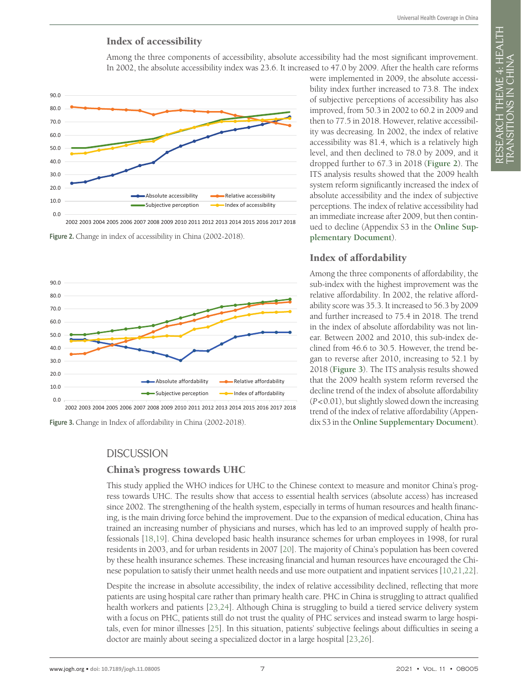RESEARCH THEME 4: HEALTH

research theme 4: health<br>transitions in china

TRANSITIONS IN CHINA

#### Index of accessibility

Among the three components of accessibility, absolute accessibility had the most significant improvement. In 2002, the absolute accessibility index was 23.6. It increased to 47.0 by 2009. After the health care reforms

<span id="page-6-0"></span>

2002 2003 2004 2005 2006 2007 2008 2009 2010 2011 2012 2013 2014 2015 2016 2017 2018

Figure 2. Change in index of accessibility in China (2002-2018).

<span id="page-6-1"></span>

Figure 3. Change in Index of affordability in China (2002-2018).

# **DISCUSSION**

#### China's progress towards UHC

This study applied the WHO indices for UHC to the Chinese context to measure and monitor China's progress towards UHC. The results show that access to essential health services (absolute access) has increased since 2002. The strengthening of the health system, especially in terms of human resources and health financing, is the main driving force behind the improvement. Due to the expansion of medical education, China has trained an increasing number of physicians and nurses, which has led to an improved supply of health professionals [\[18](#page-9-2),[19\]](#page-9-3). China developed basic health insurance schemes for urban employees in 1998, for rural residents in 2003, and for urban residents in 2007 [\[20](#page-9-4)]. The majority of China's population has been covered by these health insurance schemes. These increasing financial and human resources have encouraged the Chinese population to satisfy their unmet health needs and use more outpatient and inpatient services [[10](#page-8-10)[,21,](#page-9-5)[22](#page-9-6)].

Despite the increase in absolute accessibility, the index of relative accessibility declined, reflecting that more patients are using hospital care rather than primary health care. PHC in China is struggling to attract qualified health workers and patients [\[23](#page-9-7),[24\]](#page-9-8). Although China is struggling to build a tiered service delivery system with a focus on PHC, patients still do not trust the quality of PHC services and instead swarm to large hospitals, even for minor illnesses [\[25](#page-9-9)]. In this situation, patients' subjective feelings about difficulties in seeing a doctor are mainly about seeing a specialized doctor in a large hospital [\[23](#page-9-7),[26\]](#page-9-10).

were implemented in 2009, the absolute accessibility index further increased to 73.8. The index of subjective perceptions of accessibility has also improved, from 50.3 in 2002 to 60.2 in 2009 and then to 77.5 in 2018. However, relative accessibility was decreasing. In 2002, the index of relative accessibility was 81.4, which is a relatively high level, and then declined to 78.0 by 2009, and it dropped further to 67.3 in 2018 (**[Figure 2](#page-6-0)**). The ITS analysis results showed that the 2009 health system reform significantly increased the index of absolute accessibility and the index of subjective perceptions. The index of relative accessibility had an immediate increase after 2009, but then continued to decline (Appendix S3 in the **[Online Sup](#page-8-7)[plementary Document](#page-8-7)**).

#### Index of affordability

Among the three components of affordability, the sub-index with the highest improvement was the relative affordability. In 2002, the relative affordability score was 35.3. It increased to 56.3 by 2009 and further increased to 75.4 in 2018. The trend in the index of absolute affordability was not linear. Between 2002 and 2010, this sub-index declined from 46.6 to 30.5. However, the trend began to reverse after 2010, increasing to 52.1 by 2018 (**[Figure 3](#page-6-1)**). The ITS analysis results showed that the 2009 health system reform reversed the decline trend of the index of absolute affordability (*P*<0.01), but slightly slowed down the increasing trend of the index of relative affordability (Appendix S3 in the **[Online Supplementary Document](#page-8-7)**).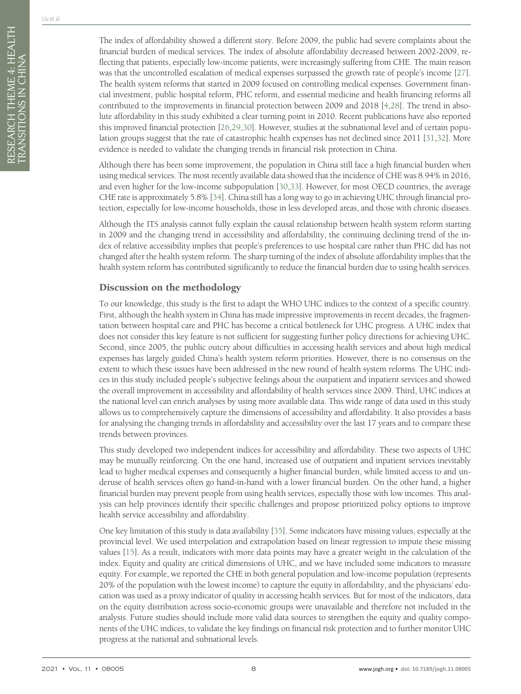The index of affordability showed a different story. Before 2009, the public had severe complaints about the financial burden of medical services. The index of absolute affordability decreased between 2002-2009, reflecting that patients, especially low-income patients, were increasingly suffering from CHE. The main reason was that the uncontrolled escalation of medical expenses surpassed the growth rate of people's income [[27\]](#page-9-11). The health system reforms that started in 2009 focused on controlling medical expenses. Government financial investment, public hospital reform, PHC reform, and essential medicine and health financing reforms all contributed to the improvements in financial protection between 2009 and 2018 [\[4](#page-8-3),[28\]](#page-9-12). The trend in absolute affordability in this study exhibited a clear turning point in 2010. Recent publications have also reported this improved financial protection [\[26](#page-9-10)[,29](#page-9-13),[30\]](#page-9-14). However, studies at the subnational level and of certain population groups suggest that the rate of catastrophic health expenses has not declined since 2011 [\[31](#page-9-15),[32\]](#page-9-16). More evidence is needed to validate the changing trends in financial risk protection in China.

Although there has been some improvement, the population in China still face a high financial burden when using medical services. The most recently available data showed that the incidence of CHE was 8.94% in 2016, and even higher for the low-income subpopulation [[30](#page-9-14),[33\]](#page-9-17). However, for most OECD countries, the average CHE rate is approximately 5.8% [\[34](#page-9-18)]. China still has a long way to go in achieving UHC through financial protection, especially for low-income households, those in less developed areas, and those with chronic diseases.

Although the ITS analysis cannot fully explain the causal relationship between health system reform starting in 2009 and the changing trend in accessibility and affordability, the continuing declining trend of the index of relative accessibility implies that people's preferences to use hospital care rather than PHC did has not changed after the health system reform. The sharp turning of the index of absolute affordability implies that the health system reform has contributed significantly to reduce the financial burden due to using health services.

## Discussion on the methodology

To our knowledge, this study is the first to adapt the WHO UHC indices to the context of a specific country. First, although the health system in China has made impressive improvements in recent decades, the fragmentation between hospital care and PHC has become a critical bottleneck for UHC progress. A UHC index that does not consider this key feature is not sufficient for suggesting further policy directions for achieving UHC. Second, since 2005, the public outcry about difficulties in accessing health services and about high medical expenses has largely guided China's health system reform priorities. However, there is no consensus on the extent to which these issues have been addressed in the new round of health system reforms. The UHC indices in this study included people's subjective feelings about the outpatient and inpatient services and showed the overall improvement in accessibility and affordability of health services since 2009. Third, UHC indices at the national level can enrich analyses by using more available data. This wide range of data used in this study allows us to comprehensively capture the dimensions of accessibility and affordability. It also provides a basis for analysing the changing trends in affordability and accessibility over the last 17 years and to compare these trends between provinces.

This study developed two independent indices for accessibility and affordability. These two aspects of UHC may be mutually reinforcing. On the one hand, increased use of outpatient and inpatient services inevitably lead to higher medical expenses and consequently a higher financial burden, while limited access to and underuse of health services often go hand-in-hand with a lower financial burden. On the other hand, a higher financial burden may prevent people from using health services, especially those with low incomes. This analysis can help provinces identify their specific challenges and propose prioritized policy options to improve health service accessibility and affordability.

One key limitation of this study is data availability [\[35](#page-9-19)]. Some indicators have missing values, especially at the provincial level. We used interpolation and extrapolation based on linear regression to impute these missing values [[15\]](#page-8-14). As a result, indicators with more data points may have a greater weight in the calculation of the index. Equity and quality are critical dimensions of UHC, and we have included some indicators to measure equity. For example, we reported the CHE in both general population and low-income population (represents 20% of the population with the lowest income) to capture the equity in affordability, and the physicians' education was used as a proxy indicator of quality in accessing health services. But for most of the indicators, data on the equity distribution across socio-economic groups were unavailable and therefore not included in the analysis. Future studies should include more valid data sources to strengthen the equity and quality components of the UHC indices, to validate the key findings on financial risk protection and to further monitor UHC progress at the national and subnational levels.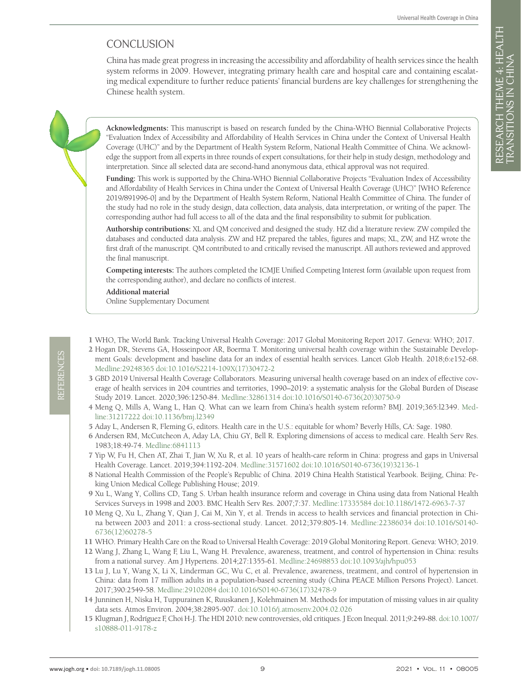# **CONCLUSION**

China has made great progress in increasing the accessibility and affordability of health services since the health system reforms in 2009. However, integrating primary health care and hospital care and containing escalating medical expenditure to further reduce patients' financial burdens are key challenges for strengthening the Chinese health system.

**Acknowledgments:** This manuscript is based on research funded by the China-WHO Biennial Collaborative Projects "Evaluation Index of Accessibility and Affordability of Health Services in China under the Context of Universal Health Coverage (UHC)" and by the Department of Health System Reform, National Health Committee of China. We acknowledge the support from all experts in three rounds of expert consultations, for their help in study design, methodology and interpretation. Since all selected data are second-hand anonymous data, ethical approval was not required.

**Funding:** This work is supported by the China-WHO Biennial Collaborative Projects "Evaluation Index of Accessibility and Affordability of Health Services in China under the Context of Universal Health Coverage (UHC)" [WHO Reference 2019/891996-0] and by the Department of Health System Reform, National Health Committee of China. The funder of the study had no role in the study design, data collection, data analysis, data interpretation, or writing of the paper. The corresponding author had full access to all of the data and the final responsibility to submit for publication.

**Authorship contributions:** XL and QM conceived and designed the study. HZ did a literature review. ZW compiled the databases and conducted data analysis. ZW and HZ prepared the tables, figures and maps; XL, ZW, and HZ wrote the first draft of the manuscript. QM contributed to and critically revised the manuscript. All authors reviewed and approved the final manuscript.

**Competing interests:** The authors completed the ICMJE Unified Competing Interest form (available upon request from the corresponding author), and declare no conflicts of interest.

**Additional material**

<span id="page-8-7"></span>[Online Supplementary Document](http://jogh.org/documents/2021/jogh-11-08005-s001.pdf)

- <span id="page-8-0"></span>1 WHO, The World Bank. Tracking Universal Health Coverage: 2017 Global Monitoring Report 2017. Geneva: WHO; 2017.
- <span id="page-8-1"></span>2 Hogan DR, Stevens GA, Hosseinpoor AR, Boerma T. Monitoring universal health coverage within the Sustainable Development Goals: development and baseline data for an index of essential health services. Lancet Glob Health. 2018;6:e152-68. [Medline:29248365](https://www.ncbi.nlm.nih.gov/entrez/query.fcgi?cmd=Retrieve&db=PubMed&list_uids=29248365&dopt=Abstract) [doi:10.1016/S2214-109X\(17\)30472-2](https://doi.org/10.1016/S2214-109X(17)30472-2)
- <span id="page-8-2"></span>3 GBD 2019 Universal Health Coverage Collaborators. Measuring universal health coverage based on an index of effective coverage of health services in 204 countries and territories, 1990–2019: a systematic analysis for the Global Burden of Disease Study 2019. Lancet. 2020;396:1250-84. [Medline:32861314](https://www.ncbi.nlm.nih.gov/entrez/query.fcgi?cmd=Retrieve&db=PubMed&list_uids=32861314&dopt=Abstract) [doi:10.1016/S0140-6736\(20\)30750-9](https://doi.org/10.1016/S0140-6736(20)30750-9)
- <span id="page-8-3"></span>4 Meng Q, Mills A, Wang L, Han Q. What can we learn from China's health system reform? BMJ. 2019;365:l2349. [Med](https://www.ncbi.nlm.nih.gov/entrez/query.fcgi?cmd=Retrieve&db=PubMed&list_uids=31217222&dopt=Abstract)[line:31217222](https://www.ncbi.nlm.nih.gov/entrez/query.fcgi?cmd=Retrieve&db=PubMed&list_uids=31217222&dopt=Abstract) [doi:10.1136/bmj.l2349](https://doi.org/10.1136/bmj.l2349)
- <span id="page-8-4"></span>5 Aday L, Andersen R, Fleming G, editors. Health care in the U.S.: equitable for whom? Beverly Hills, CA: Sage. 1980.
- <span id="page-8-5"></span>6 Andersen RM, McCutcheon A, Aday LA, Chiu GY, Bell R. Exploring dimensions of access to medical care. Health Serv Res. 1983;18:49-74. [Medline:6841113](https://www.ncbi.nlm.nih.gov/entrez/query.fcgi?cmd=Retrieve&db=PubMed&list_uids=6841113&dopt=Abstract)
- <span id="page-8-6"></span>7 Yip W, Fu H, Chen AT, Zhai T, Jian W, Xu R, et al. 10 years of health-care reform in China: progress and gaps in Universal Health Coverage. Lancet. 2019;394:1192-204. [Medline:31571602](https://www.ncbi.nlm.nih.gov/entrez/query.fcgi?cmd=Retrieve&db=PubMed&list_uids=31571602&dopt=Abstract) [doi:10.1016/S0140-6736\(19\)32136-1](https://doi.org/10.1016/S0140-6736(19)32136-1)
- <span id="page-8-8"></span>8 National Health Commission of the People's Republic of China. 2019 China Health Statistical Yearbook. Beijing, China: Peking Union Medical College Publishing House; 2019.
- <span id="page-8-9"></span>9 Xu L, Wang Y, Collins CD, Tang S. Urban health insurance reform and coverage in China using data from National Health Services Surveys in 1998 and 2003. BMC Health Serv Res. 2007;7:37. [Medline:17335584](https://www.ncbi.nlm.nih.gov/entrez/query.fcgi?cmd=Retrieve&db=PubMed&list_uids=17335584&dopt=Abstract) [doi:10.1186/1472-6963-7-37](https://doi.org/10.1186/1472-6963-7-37)
- <span id="page-8-10"></span>10 Meng Q, Xu L, Zhang Y, Qian J, Cai M, Xin Y, et al. Trends in access to health services and financial protection in China between 2003 and 2011: a cross-sectional study. Lancet. 2012;379:805-14. [Medline:22386034](https://www.ncbi.nlm.nih.gov/entrez/query.fcgi?cmd=Retrieve&db=PubMed&list_uids=22386034&dopt=Abstract) [doi:10.1016/S0140-](https://doi.org/10.1016/S0140-6736(12)60278-5) [6736\(12\)60278-5](https://doi.org/10.1016/S0140-6736(12)60278-5)
- <span id="page-8-11"></span>11 WHO. Primary Health Care on the Road to Universal Health Coverage: 2019 Global Monitoring Report. Geneva: WHO; 2019.
- 12 Wang J, Zhang L, Wang F, Liu L, Wang H. Prevalence, awareness, treatment, and control of hypertension in China: results from a national survey. Am J Hypertens. 2014;27:1355-61. [Medline:24698853](https://www.ncbi.nlm.nih.gov/entrez/query.fcgi?cmd=Retrieve&db=PubMed&list_uids=24698853&dopt=Abstract) [doi:10.1093/ajh/hpu053](https://doi.org/10.1093/ajh/hpu053)
- <span id="page-8-12"></span>13 Lu J, Lu Y, Wang X, Li X, Linderman GC, Wu C, et al. Prevalence, awareness, treatment, and control of hypertension in China: data from 17 million adults in a population-based screening study (China PEACE Million Persons Project). Lancet. 2017;390:2549-58. [Medline:29102084](https://www.ncbi.nlm.nih.gov/entrez/query.fcgi?cmd=Retrieve&db=PubMed&list_uids=29102084&dopt=Abstract) [doi:10.1016/S0140-6736\(17\)32478-9](https://doi.org/10.1016/S0140-6736(17)32478-9)
- <span id="page-8-13"></span>14 Junninen H, Niska H, Tuppurainen K, Ruuskanen J, Kolehmainen M. Methods for imputation of missing values in air quality data sets. Atmos Environ. 2004;38:2895-907. [doi:10.1016/j.atmosenv.2004.02.026](https://doi.org/10.1016/j.atmosenv.2004.02.026)
- <span id="page-8-14"></span>15 Klugman J, Rodríguez F, Choi H-J. The HDI 2010: new controversies, old critiques. J Econ Inequal. 2011;9:249-88. [doi:10.1007/](https://doi.org/10.1007/s10888-011-9178-z) [s10888-011-9178-z](https://doi.org/10.1007/s10888-011-9178-z)